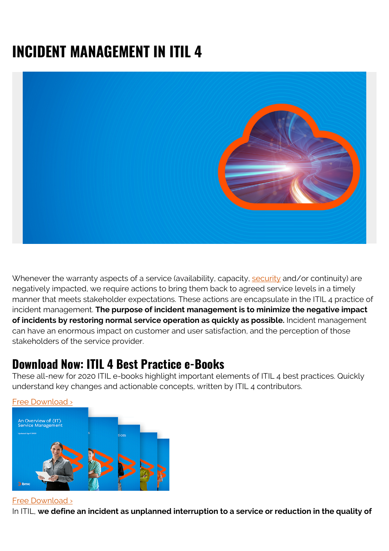# **INCIDENT MANAGEMENT IN ITIL 4**



Whenever the warranty aspects of a service (availability, capacity, [security](https://blogs.bmc.com/blogs/security-vulnerability-vs-threat-vs-risk-whats-difference/) and/or continuity) are negatively impacted, we require actions to bring them back to agreed service levels in a timely manner that meets stakeholder expectations. These actions are encapsulate in the ITIL 4 practice of incident management. **The purpose of incident management is to minimize the negative impact of incidents by restoring normal service operation as quickly as possible.** Incident management can have an enormous impact on customer and user satisfaction, and the perception of those stakeholders of the service provider.

### **Download Now: ITIL 4 Best Practice e-Books**

These all-new for 2020 ITIL e-books highlight important elements of ITIL 4 best practices. Quickly understand key changes and actionable concepts, written by ITIL 4 contributors.



#### [Free Download ›](https://www.bmc.com/forms/itil-free-ebook.html)

In ITIL, **we define an incident as unplanned interruption to a service or reduction in the quality of**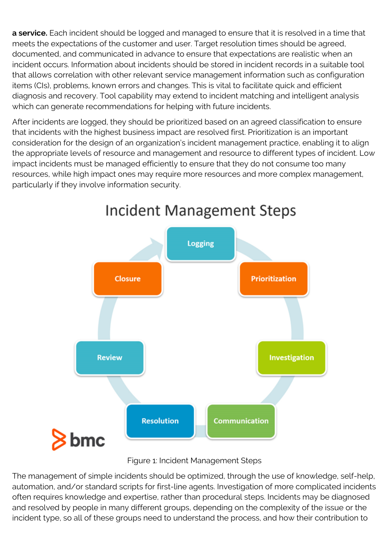**a service.** Each incident should be logged and managed to ensure that it is resolved in a time that meets the expectations of the customer and user. Target resolution times should be agreed, documented, and communicated in advance to ensure that expectations are realistic when an incident occurs. Information about incidents should be stored in incident records in a suitable tool that allows correlation with other relevant service management information such as configuration items (CIs), problems, known errors and changes. This is vital to facilitate quick and efficient diagnosis and recovery. Tool capability may extend to incident matching and intelligent analysis which can generate recommendations for helping with future incidents.

After incidents are logged, they should be prioritized based on an agreed classification to ensure that incidents with the highest business impact are resolved first. Prioritization is an important consideration for the design of an organization's incident management practice, enabling it to align the appropriate levels of resource and management and resource to different types of incident. Low impact incidents must be managed efficiently to ensure that they do not consume too many resources, while high impact ones may require more resources and more complex management, particularly if they involve information security.



## Incident Management Steps

Figure 1: Incident Management Steps

The management of simple incidents should be optimized, through the use of knowledge, self-help, automation, and/or standard scripts for first-line agents. Investigation of more complicated incidents often requires knowledge and expertise, rather than procedural steps. Incidents may be diagnosed and resolved by people in many different groups, depending on the complexity of the issue or the incident type, so all of these groups need to understand the process, and how their contribution to